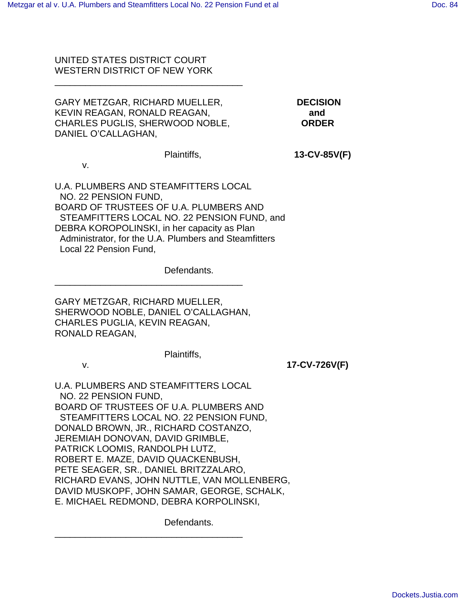## UNITED STATES DISTRICT COURT WESTERN DISTRICT OF NEW YORK

\_\_\_\_\_\_\_\_\_\_\_\_\_\_\_\_\_\_\_\_\_\_\_\_\_\_\_\_\_\_\_\_\_\_\_\_\_

| GARY METZGAR, RICHARD MUELLER,  | <b>DECISION</b> |
|---------------------------------|-----------------|
| KEVIN REAGAN, RONALD REAGAN,    | and             |
| CHARLES PUGLIS, SHERWOOD NOBLE, | <b>ORDER</b>    |
| DANIEL O'CALLAGHAN.             |                 |

Plaintiffs, **13-CV-85V(F)**

v.

U.A. PLUMBERS AND STEAMFITTERS LOCAL NO. 22 PENSION FUND, BOARD OF TRUSTEES OF U.A. PLUMBERS AND STEAMFITTERS LOCAL NO. 22 PENSION FUND, and DEBRA KOROPOLINSKI, in her capacity as Plan Administrator, for the U.A. Plumbers and Steamfitters Local 22 Pension Fund,

Defendants.

GARY METZGAR, RICHARD MUELLER, SHERWOOD NOBLE, DANIEL O'CALLAGHAN, CHARLES PUGLIA, KEVIN REAGAN, RONALD REAGAN,

\_\_\_\_\_\_\_\_\_\_\_\_\_\_\_\_\_\_\_\_\_\_\_\_\_\_\_\_\_\_\_\_\_\_\_\_\_

Plaintiffs,

v. **17-CV-726V(F)**

U.A. PLUMBERS AND STEAMFITTERS LOCAL NO. 22 PENSION FUND, BOARD OF TRUSTEES OF U.A. PLUMBERS AND STEAMFITTERS LOCAL NO. 22 PENSION FUND, DONALD BROWN, JR., RICHARD COSTANZO, JEREMIAH DONOVAN, DAVID GRIMBLE, PATRICK LOOMIS, RANDOLPH LUTZ, ROBERT E. MAZE, DAVID QUACKENBUSH, PETE SEAGER, SR., DANIEL BRITZZALARO, RICHARD EVANS, JOHN NUTTLE, VAN MOLLENBERG, DAVID MUSKOPF, JOHN SAMAR, GEORGE, SCHALK, E. MICHAEL REDMOND, DEBRA KORPOLINSKI,

\_\_\_\_\_\_\_\_\_\_\_\_\_\_\_\_\_\_\_\_\_\_\_\_\_\_\_\_\_\_\_\_\_\_\_\_\_

Defendants.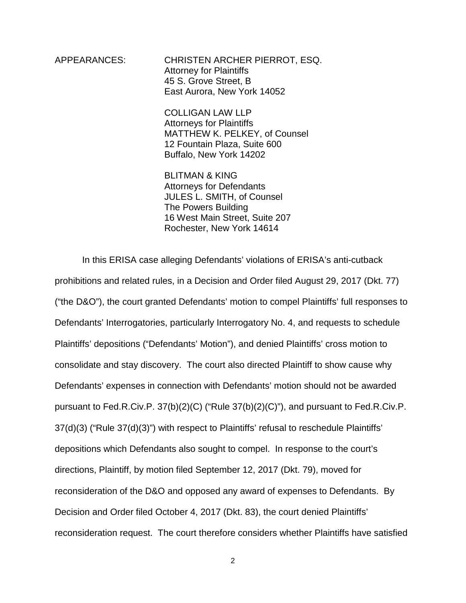APPEARANCES: CHRISTEN ARCHER PIERROT, ESQ. Attorney for Plaintiffs 45 S. Grove Street, B East Aurora, New York 14052

> COLLIGAN LAW LLP Attorneys for Plaintiffs MATTHEW K. PELKEY, of Counsel 12 Fountain Plaza, Suite 600 Buffalo, New York 14202

 BLITMAN & KING Attorneys for Defendants JULES L. SMITH, of Counsel The Powers Building 16 West Main Street, Suite 207 Rochester, New York 14614

In this ERISA case alleging Defendants' violations of ERISA's anti-cutback prohibitions and related rules, in a Decision and Order filed August 29, 2017 (Dkt. 77) ("the D&O"), the court granted Defendants' motion to compel Plaintiffs' full responses to Defendants' Interrogatories, particularly Interrogatory No. 4, and requests to schedule Plaintiffs' depositions ("Defendants' Motion"), and denied Plaintiffs' cross motion to consolidate and stay discovery. The court also directed Plaintiff to show cause why Defendants' expenses in connection with Defendants' motion should not be awarded pursuant to Fed.R.Civ.P. 37(b)(2)(C) ("Rule 37(b)(2)(C)"), and pursuant to Fed.R.Civ.P. 37(d)(3) ("Rule 37(d)(3)") with respect to Plaintiffs' refusal to reschedule Plaintiffs' depositions which Defendants also sought to compel. In response to the court's directions, Plaintiff, by motion filed September 12, 2017 (Dkt. 79), moved for reconsideration of the D&O and opposed any award of expenses to Defendants. By Decision and Order filed October 4, 2017 (Dkt. 83), the court denied Plaintiffs' reconsideration request. The court therefore considers whether Plaintiffs have satisfied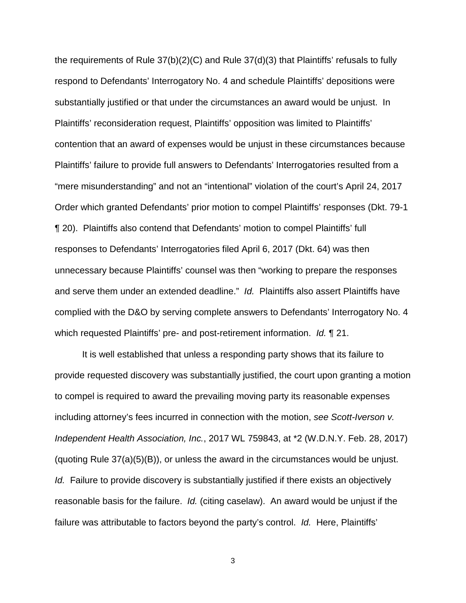the requirements of Rule 37(b)(2)(C) and Rule 37(d)(3) that Plaintiffs' refusals to fully respond to Defendants' Interrogatory No. 4 and schedule Plaintiffs' depositions were substantially justified or that under the circumstances an award would be unjust. In Plaintiffs' reconsideration request, Plaintiffs' opposition was limited to Plaintiffs' contention that an award of expenses would be unjust in these circumstances because Plaintiffs' failure to provide full answers to Defendants' Interrogatories resulted from a "mere misunderstanding" and not an "intentional" violation of the court's April 24, 2017 Order which granted Defendants' prior motion to compel Plaintiffs' responses (Dkt. 79-1 ¶ 20). Plaintiffs also contend that Defendants' motion to compel Plaintiffs' full responses to Defendants' Interrogatories filed April 6, 2017 (Dkt. 64) was then unnecessary because Plaintiffs' counsel was then "working to prepare the responses and serve them under an extended deadline." Id. Plaintiffs also assert Plaintiffs have complied with the D&O by serving complete answers to Defendants' Interrogatory No. 4 which requested Plaintiffs' pre- and post-retirement information. Id. 1 21.

It is well established that unless a responding party shows that its failure to provide requested discovery was substantially justified, the court upon granting a motion to compel is required to award the prevailing moving party its reasonable expenses including attorney's fees incurred in connection with the motion, see Scott-Iverson v. Independent Health Association, Inc., 2017 WL 759843, at \*2 (W.D.N.Y. Feb. 28, 2017) (quoting Rule 37(a)(5)(B)), or unless the award in the circumstances would be unjust. Id. Failure to provide discovery is substantially justified if there exists an objectively reasonable basis for the failure. Id. (citing caselaw). An award would be unjust if the failure was attributable to factors beyond the party's control. Id. Here, Plaintiffs'

3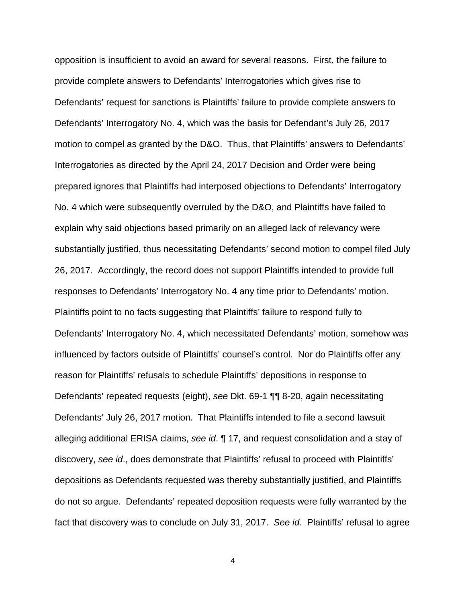opposition is insufficient to avoid an award for several reasons. First, the failure to provide complete answers to Defendants' Interrogatories which gives rise to Defendants' request for sanctions is Plaintiffs' failure to provide complete answers to Defendants' Interrogatory No. 4, which was the basis for Defendant's July 26, 2017 motion to compel as granted by the D&O. Thus, that Plaintiffs' answers to Defendants' Interrogatories as directed by the April 24, 2017 Decision and Order were being prepared ignores that Plaintiffs had interposed objections to Defendants' Interrogatory No. 4 which were subsequently overruled by the D&O, and Plaintiffs have failed to explain why said objections based primarily on an alleged lack of relevancy were substantially justified, thus necessitating Defendants' second motion to compel filed July 26, 2017. Accordingly, the record does not support Plaintiffs intended to provide full responses to Defendants' Interrogatory No. 4 any time prior to Defendants' motion. Plaintiffs point to no facts suggesting that Plaintiffs' failure to respond fully to Defendants' Interrogatory No. 4, which necessitated Defendants' motion, somehow was influenced by factors outside of Plaintiffs' counsel's control. Nor do Plaintiffs offer any reason for Plaintiffs' refusals to schedule Plaintiffs' depositions in response to Defendants' repeated requests (eight), see Dkt. 69-1 ¶¶ 8-20, again necessitating Defendants' July 26, 2017 motion. That Plaintiffs intended to file a second lawsuit alleging additional ERISA claims, see id. 17, and request consolidation and a stay of discovery, see id., does demonstrate that Plaintiffs' refusal to proceed with Plaintiffs' depositions as Defendants requested was thereby substantially justified, and Plaintiffs do not so argue. Defendants' repeated deposition requests were fully warranted by the fact that discovery was to conclude on July 31, 2017. See id. Plaintiffs' refusal to agree

4